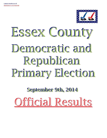

# Democratic and Republican Primary Election Essex County

**September 9th, 2014 September 9th, 2014**

Official Results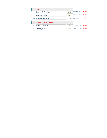|        | <b>GOVERNOR</b>            |     |                   |       |
|--------|----------------------------|-----|-------------------|-------|
| 1A:    | Zephyr R. Teachout         | 316 | <b>DEMOCRATIC</b> | 45.9% |
| $2A$ : | Andrew M. Cuomo            | 347 | <b>DEMOCRATIC</b> | 50.4% |
| $3A$ : | Randy A. Credico           | 25  | <b>DEMOCRATIC</b> | 3.6%  |
|        |                            |     |                   |       |
|        | <b>LIEUTENANT GOVERNOR</b> |     |                   |       |
| 4A:    | Kathy C. Hochul            | 303 | <b>DEMOCRATIC</b> | 48.6% |
| 5A:    | <b>Timothy Wu</b>          | 320 | <b>DEMOCRATIC</b> | 51.4% |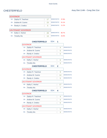|        | <b>GOVERNOR</b>            |    |                   |           |
|--------|----------------------------|----|-------------------|-----------|
| $1A$ : | Zephyr R. Teachout         | 17 | <b>DEMOCRATIC</b> | 37.8%     |
| $2A$ : | Andrew M. Cuomo            | 23 | <b>DEMOCRATIC</b> | 51.1%     |
| $3A$ : | Randy A. Credico           | 5  | <b>DEMOCRATIC</b> | $-11.1\%$ |
|        |                            |    |                   |           |
|        | <b>LIEUTENANT GOVERNOR</b> |    |                   |           |
| 4A:    | Kathy C. Hochul            | 28 | <b>DEMOCRATIC</b> | 66.7%     |
| $5A$ : | <b>Timothy Wu</b>          | 13 | <b>DEMOCRATIC</b> | 33.3%     |

|        | <b>CHESTERFIELD</b>        | $ED#$ : | 1              |                   |
|--------|----------------------------|---------|----------------|-------------------|
|        | <b>GOVERNOR</b>            |         |                |                   |
| $1A$ : | Zephyr R. Teachout         |         | 4              | <b>DEMOCRATIC</b> |
| $2A$ : | Andrew M. Cuomo            |         | 5              | <b>DEMOCRATIC</b> |
| $3A$ : | Randy A. Credico           |         | 0              | <b>DEMOCRATIC</b> |
|        | <b>LIEUTENANT GOVERNOR</b> |         |                |                   |
| 4A:    | Kathy C. Hochul            |         | 6              | <b>DEMOCRATIC</b> |
| $5A$ : | <b>Timothy Wu</b>          |         | 3              | <b>DEMOCRATIC</b> |
|        | <b>CHESTERFIELD</b>        | ED#     | $\mathbf 2$    |                   |
|        | <b>GOVERNOR</b>            |         |                |                   |
| $1A$ : | Zephyr R. Teachout         |         | 9              | <b>DEMOCRATIC</b> |
| 2A:    | Andrew M. Cuomo            |         | 14             | <b>DEMOCRATIC</b> |
| $3A$ : | Randy A. Credico           |         | 5              | <b>DEMOCRATIC</b> |
|        | <b>LIFUTENANT GOVERNOR</b> |         |                |                   |
| 4A:    | Kathy C. Hochul            |         | 17             | <b>DEMOCRATIC</b> |
| $5A$ : | <b>Timothy Wu</b>          |         | $\overline{7}$ | <b>DEMOCRATIC</b> |
|        | <b>CHESTERFIELD</b>        | ED#:    | 4              |                   |
|        | <b>GOVERNOR</b>            |         |                |                   |
| $1A$ : | Zephyr R. Teachout         |         | 4              | <b>DEMOCRATIC</b> |
| $2A$ : | Andrew M. Cuomo            |         | 4              | <b>DEMOCRATIC</b> |
| $3A$ : | Randy A. Credico           |         | $\Omega$       | <b>DEMOCRATIC</b> |
|        | <b>LIEUTENANT GOVERNOR</b> |         |                |                   |
| 4A:    | Kathy C. Hochul            |         | 5              | <b>DEMOCRATIC</b> |
| 5A:    | <b>Timothy Wu</b>          |         | 3              | <b>DEMOCRATIC</b> |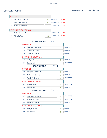|        | <b>GOVERNOR</b>            |    |                   |       |
|--------|----------------------------|----|-------------------|-------|
| $1A$ : | Zephyr R. Teachout         | 8  | <b>DEMOCRATIC</b> | 61.5% |
| $2A^+$ | Andrew M. Cuomo            | 4  | <b>DEMOCRATIC</b> | 30.8% |
| $3A$ : | Randy A. Credico           | 1  | <b>DEMOCRATIC</b> | 7.7%  |
|        |                            |    |                   |       |
|        | <b>LIEUTENANT GOVERNOR</b> |    |                   |       |
| 4A:    | Kathy C. Hochul            | 4  | <b>DEMOCRATIC</b> | 50.0% |
| 5A:    | Timothy Wu                 | 10 | <b>DEMOCRATIC</b> | 50.0% |

|        | <b>CROWN POINT</b>         | <b>ED#:</b> | 1              |                   |
|--------|----------------------------|-------------|----------------|-------------------|
|        | <b>GOVERNOR</b>            |             |                |                   |
| $1A$ : | Zephyr R. Teachout         |             | 1              | <b>DEMOCRATIC</b> |
| $2A$ : | Andrew M. Cuomo            |             | 1              | <b>DEMOCRATIC</b> |
| $3A$ : | Randy A. Credico           |             | 1              | <b>DEMOCRATIC</b> |
|        | <b>LIEUTENANT GOVERNOR</b> |             |                |                   |
| 4A:    | Kathy C. Hochul            |             | $\overline{2}$ | <b>DEMOCRATIC</b> |
| 5A:    | <b>Timothy Wu</b>          |             | $\overline{2}$ | <b>DEMOCRATIC</b> |
|        | <b>CROWN POINT</b>         | ED#         | $\mathbf{2}$   |                   |
|        | <b>GOVERNOR</b>            |             |                |                   |
| $1A$ : | Zephyr R. Teachout         |             | $\overline{2}$ | <b>DEMOCRATIC</b> |
| 2A:    | Andrew M. Cuomo            |             | 1              | <b>DEMOCRATIC</b> |
| $3A$ : | Randy A. Credico           |             | O              | <b>DEMOCRATIC</b> |
|        | <b>LIEUTENANT GOVERNOR</b> |             |                |                   |
| 4A:    | Kathy C. Hochul            |             | $\Omega$       | <b>DEMOCRATIC</b> |
| $5A$ : | <b>Timothy Wu</b>          |             | 4              | <b>DEMOCRATIC</b> |
|        | <b>CROWN POINT</b>         | ED#         | 3              |                   |
|        | <b>GOVERNOR</b>            |             |                |                   |
| $1A$ : | Zephyr R. Teachout         |             | 5              | <b>DEMOCRATIC</b> |
| $2A$ : | Andrew M. Cuomo            |             | $\overline{2}$ | <b>DEMOCRATIC</b> |
| $3A$ : | Randy A. Credico           |             | $\Omega$       | <b>DEMOCRATIC</b> |
|        | <b>LIEUTENANT GOVERNOR</b> |             |                |                   |
| 4A:    | Kathy C. Hochul            |             | $\overline{2}$ | <b>DEMOCRATIC</b> |
| 5A:    | <b>Timothy Wu</b>          |             | 4              | <b>DEMOCRATIC</b> |
|        |                            |             |                |                   |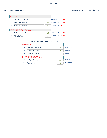|        | <b>GOVERNOR</b>            |    |                   |       |
|--------|----------------------------|----|-------------------|-------|
| 1A:    | Zephyr R. Teachout         | 5  | <b>DEMOCRATIC</b> | 20.0% |
| $2A$ : | Andrew M. Cuomo            | 20 | <b>DEMOCRATIC</b> | 80.0% |
| $3A$ : | Randy A. Credico           | 0  | <b>DEMOCRATIC</b> | 0.0%  |
|        | <b>LIEUTENANT GOVERNOR</b> |    |                   |       |
| 4A:    | Kathy C. Hochul            | 18 | <b>DEMOCRATIC</b> | 81.8% |
| 5A:    | <b>Timothy Wu</b>          | 4  | <b>DEMOCRATIC</b> | 18.2% |

<u> 1989 - Johann Barn, amerikansk politiker (</u>

|        | <b>ELIZABETHTOWN</b>       | ED# |          |                   |
|--------|----------------------------|-----|----------|-------------------|
|        | <b>GOVERNOR</b>            |     |          |                   |
| 1A:    | Zephyr R. Teachout         |     | 5        | <b>DEMOCRATIC</b> |
| $2A^+$ | Andrew M. Cuomo            |     | 20       | <b>DEMOCRATIC</b> |
| $3A$ : | Randy A. Credico           |     | $\Omega$ | <b>DEMOCRATIC</b> |
|        | <b>LIEUTENANT GOVERNOR</b> |     |          |                   |
| 4A:    | Kathy C. Hochul            |     | 18       | <b>DEMOCRATIC</b> |
| 5A:    | <b>Timothy Wu</b>          |     |          | <b>DEMOCRATIC</b> |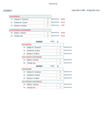|        | <b>GOVERNOR</b>            |    |                   |       |
|--------|----------------------------|----|-------------------|-------|
| 1A:    | Zephyr R. Teachout         | 16 | <b>DEMOCRATIC</b> | 59.3% |
| $2A$ : | Andrew M. Cuomo            | 11 | <b>DEMOCRATIC</b> | 40.7% |
| $3A$ : | Randy A. Credico           | 0  | <b>DEMOCRATIC</b> | 0.0%  |
|        |                            |    |                   |       |
|        | <b>LIEUTENANT GOVERNOR</b> |    |                   |       |
| 4A:    | Kathy C. Hochul            | 9  | <b>DEMOCRATIC</b> | 45.5% |
| 5A:    | Timothy Wu                 | 17 | <b>DEMOCRATIC</b> | 54.5% |

|        | ED#<br><b>ESSEX</b>        | 1            |    |                   |
|--------|----------------------------|--------------|----|-------------------|
|        | <b>GOVERNOR</b>            |              |    |                   |
| $1A$ : | Zephyr R. Teachout         |              | 6  | <b>DEMOCRATIC</b> |
| $2A$ : | Andrew M. Cuomo            |              | 5  | <b>DEMOCRATIC</b> |
| $3A$ : | Randy A. Credico           |              | 0  | <b>DEMOCRATIC</b> |
|        | <b>LIEUTENANT GOVERNOR</b> |              |    |                   |
| 4A:    | Kathy C. Hochul            |              | 5  | <b>DEMOCRATIC</b> |
| $5A$ : | <b>Timothy Wu</b>          |              | 6  | <b>DEMOCRATIC</b> |
|        |                            |              |    |                   |
|        | ED#<br><b>ESSEX</b>        | $\mathbf{c}$ |    |                   |
|        | <b>GOVERNOR</b>            |              |    |                   |
| $1A$ : | Zephyr R. Teachout         |              | 10 | <b>DEMOCRATIC</b> |
| 2A:    | Andrew M. Cuomo            |              | 6  | <b>DEMOCRATIC</b> |
| $3A$ : | Randy A. Credico           |              | 0  | <b>DEMOCRATIC</b> |
|        | <b>LIEUTENANT GOVERNOR</b> |              |    |                   |
| 4A:    | Kathy C. Hochul            |              | 4  | <b>DEMOCRATIC</b> |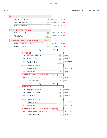DEMOCRATIC 38.2% **GOVERNOR** 1A: Zephyr R. Teachout 29 2A: Andrew M. Cuomo 44 DEMOCRATIC 57.9% 3A: Randy A. Credico 3 DEMOCRATIC 3.9% LIEUTENANT GOVERNOR 4A: Kathy C. Hochul 33 5A: Timothy Wu 31 DEMOCRATIC 43.1% DEMOCRATIC 56.9% SUPERINTENDENT OF HIGHWAYS (Unexpired) 6B: Robert Robbie E. Lincoln, Jr 205 7B: Glenn L. Williams 48 REPUBLICAN REPUBLICAN 80.3% 19.7% **JAY** ED#: **1 GOVERNOR** 1A: Zephyr R. Teachout 25 2A: Andrew M. Cuomo 32 DEMOCRATIC DEMOCRATIC 3A: Randy A. Credico 3 DEMOCRATIC LIEUTENANT GOVERNOR 4A: Kathy C. Hochul 22 5A: Timothy Wu 29 DEMOCRATIC DEMOCRATIC SUPERINTENDENT OF HIGHWAYS (Unexpired) 6B: Robert Robbie E. Lincoln, Jr | 163 7B: Glenn L. Williams 40 **REPUBLICAN REPUBLICAN JAY** ED#: **2 GOVERNOR** 1A: Zephyr R. Teachout 4 2A: Andrew M. Cuomo 12 DEMOCRATIC DEMOCRATIC 3A: Randy A. Credico 0 DEMOCRATIC LIEUTENANT GOVERNOR 4A: Kathy C. Hochul 11 5A: Timothy Wu 2 DEMOCRATIC DEMOCRATIC SUPERINTENDENT OF HIGHWAYS (Unexpired) 6B: Robert Robbie E. Lincoln, Jr | 42 7B: Glenn L. Williams 8 REPUBLICAN **REPUBLICAN**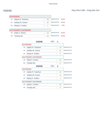|        | <b>GOVERNOR</b>            |    |                   |       |
|--------|----------------------------|----|-------------------|-------|
| 1A:    | Zephyr R. Teachout         | 28 | <b>DEMOCRATIC</b> | 45.9% |
| $2A^+$ | Andrew M. Cuomo            | 32 | <b>DEMOCRATIC</b> | 52.5% |
| $3A$ : | Randy A. Credico           |    | <b>DEMOCRATIC</b> | 1.6%  |
|        |                            |    |                   |       |
|        | <b>LIEUTENANT GOVERNOR</b> |    |                   |       |
| 4A:    | Kathy C. Hochul            | 24 | <b>DEMOCRATIC</b> | 45.2% |
| 5A:    | Timothy Wu                 | 26 | <b>DEMOCRATIC</b> | 54.8% |

|        | ED#<br><b>KEENE</b>        | 1            |                   |
|--------|----------------------------|--------------|-------------------|
|        | <b>GOVERNOR</b>            |              |                   |
| $1A$ : | Zephyr R. Teachout         | 16           | <b>DEMOCRATIC</b> |
| $2A$ : | Andrew M. Cuomo            | 21           | <b>DEMOCRATIC</b> |
| $3A$ : | Randy A. Credico           | O            | <b>DEMOCRATIC</b> |
|        | <b>LIEUTENANT GOVERNOR</b> |              |                   |
| 4A:    | Kathy C. Hochul            | 14           | <b>DEMOCRATIC</b> |
| $5A$ : | <b>Timothy Wu</b>          | 17           | <b>DEMOCRATIC</b> |
|        | ED#                        |              |                   |
|        | <b>KEENE</b>               | $\mathbf{c}$ |                   |
|        | <b>GOVERNOR</b>            |              |                   |
| $1A$ : | Zephyr R. Teachout         | 12           | <b>DEMOCRATIC</b> |
| 2A:    | Andrew M. Cuomo            | 11           | <b>DEMOCRATIC</b> |
| $3A$ : | Randy A. Credico           | 1            | <b>DEMOCRATIC</b> |
|        | <b>LIEUTENANT GOVERNOR</b> |              |                   |
| 4A:    | Kathy C. Hochul            | 10           | <b>DEMOCRATIC</b> |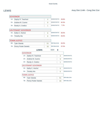|        | <b>GOVERNOR</b>             |                            |    |                   |          |       |                   |
|--------|-----------------------------|----------------------------|----|-------------------|----------|-------|-------------------|
| $1A$ : | Zephyr R. Teachout          |                            | 4  | <b>DEMOCRATIC</b> |          | 28.6% |                   |
| $2A$ : | Andrew M. Cuomo             |                            | 9  | <b>DEMOCRATIC</b> |          | 64.3% |                   |
| $3A$ : | Randy A. Credico            |                            | 1  | <b>DEMOCRATIC</b> |          | 7.1%  |                   |
|        |                             |                            |    |                   |          |       |                   |
|        | LIEUTENANT GOVERNOR         |                            |    |                   |          |       |                   |
| 4A:    | Kathy C. Hochul             |                            | 6  | <b>DEMOCRATIC</b> |          | 50.0% |                   |
| 5A:    | <b>Timothy Wu</b>           |                            | 6  | <b>DEMOCRATIC</b> |          | 50.0% |                   |
|        | <b>TOWN JUSTICE</b>         |                            |    |                   |          |       |                   |
| 6B:    | <b>Tyler Glanda</b>         |                            | 51 | <b>REPUBLICAN</b> |          | 63.0% |                   |
|        |                             |                            |    |                   |          |       |                   |
| 7B:    | <b>Penny Pooler Daniels</b> |                            | 30 | <b>REPUBLICAN</b> |          | 37.0% |                   |
|        |                             | <b>LEWIS</b>               |    | ED#               | $\bf{0}$ |       |                   |
|        |                             | <b>GOVERNOR</b>            |    |                   |          |       |                   |
|        | $1A$ :                      | Zephyr R. Teachout         |    |                   |          | 4     | <b>DEMOCRATIC</b> |
|        | $2A$ :                      | Andrew M. Cuomo            |    |                   |          | 9     | <b>DEMOCRATIC</b> |
|        | $3A$ :                      | Randy A. Credico           |    |                   |          | 1     | <b>DEMOCRATIC</b> |
|        |                             | <b>LIEUTENANT GOVERNOR</b> |    |                   |          |       |                   |
|        | 4A:                         | Kathy C. Hochul            |    |                   |          | 6     | <b>DEMOCRATIC</b> |
|        | 5A:                         | <b>Timothy Wu</b>          |    |                   |          | 6     | <b>DEMOCRATIC</b> |
|        |                             | <b>TOWN JUSTICE</b>        |    |                   |          |       |                   |
|        | 6B:                         | <b>Tyler Glanda</b>        |    |                   | 51       |       | <b>REPUBLICAN</b> |
|        | 7B:                         | Penny Pooler Daniels       |    |                   |          | 30    | <b>REPUBLICAN</b> |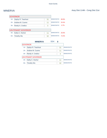|        | <b>GOVERNOR</b>            |    |                   |       |
|--------|----------------------------|----|-------------------|-------|
| 1A:    | Zephyr R. Teachout         | 31 | <b>DEMOCRATIC</b> | 68.9% |
| $2A^+$ | Andrew M. Cuomo            | 11 | <b>DEMOCRATIC</b> | 24.4% |
| $3A$ : | Randy A. Credico           | 3  | <b>DEMOCRATIC</b> | 6.7%  |
|        |                            |    |                   |       |
|        | <b>LIEUTENANT GOVERNOR</b> |    |                   |       |
| $4A$ : | Kathy C. Hochul            | 11 | <b>DEMOCRATIC</b> | 25.6% |
| 5A:    | <b>Timothy Wu</b>          | 32 | <b>DEMOCRATIC</b> | 74.4% |

|        | <b>MINERVA</b>             | ED# |    |                   |
|--------|----------------------------|-----|----|-------------------|
|        | <b>GOVERNOR</b>            |     |    |                   |
| 1A:    | Zephyr R. Teachout         |     | 31 | <b>DEMOCRATIC</b> |
| $2A^+$ | Andrew M. Cuomo            |     | 11 | <b>DEMOCRATIC</b> |
| $3A$ : | Randy A. Credico           |     | 3  | <b>DEMOCRATIC</b> |
|        | <b>LIEUTENANT GOVERNOR</b> |     |    |                   |
| 4A:    | Kathy C. Hochul            |     | 11 | <b>DEMOCRATIC</b> |
| 5A:    | Timothy Wu                 |     | 32 | <b>DEMOCRATIC</b> |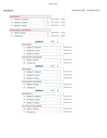|        | GOVERNOR            |    |                   |       |
|--------|---------------------|----|-------------------|-------|
| 1A:    | Zephyr R. Teachout  | 8  | <b>DEMOCRATIC</b> | 29.6% |
| $2A$ : | Andrew M. Cuomo     | 16 | <b>DEMOCRATIC</b> | 59.3% |
| $3A$ : | Randy A. Credico    | 3  | DEMOCRATIC 11.1%  |       |
|        |                     |    |                   |       |
|        | LIEUTENANT GOVERNOR |    |                   |       |
| 4A:    | Kathy C. Hochul     | 15 | <b>DEMOCRATIC</b> | 57.1% |
| 5A:    | <b>Timothy Wu</b>   | 10 | <b>DEMOCRATIC</b> | 42.9% |

|        | <b>MORIAH</b>              | <b>ED#:</b> | 1              |                   |
|--------|----------------------------|-------------|----------------|-------------------|
|        | <b>GOVERNOR</b>            |             |                |                   |
| $1A$ : | Zephyr R. Teachout         |             | 2              | <b>DEMOCRATIC</b> |
| $2A$ : | Andrew M. Cuomo            |             | 4              | <b>DEMOCRATIC</b> |
| $3A$ : | Randy A. Credico           |             | 1              | <b>DEMOCRATIC</b> |
|        | <b>LIEUTENANT GOVERNOR</b> |             |                |                   |
| 4A:    | Kathy C. Hochul            |             | 4              | <b>DEMOCRATIC</b> |
| 5A:    | <b>Timothy Wu</b>          |             | 3              | <b>DEMOCRATIC</b> |
|        | <b>MORIAH</b>              | $ED#$ :     | $\mathbf 2$    |                   |
|        | <b>GOVERNOR</b>            |             |                |                   |
| $1A$ : | Zephyr R. Teachout         |             | 4              | <b>DEMOCRATIC</b> |
| 2A:    | Andrew M. Cuomo            |             | 3              | <b>DEMOCRATIC</b> |
| $3A$ : | Randy A. Credico           |             | $\overline{2}$ | <b>DEMOCRATIC</b> |
|        | <b>LIEUTENANT GOVERNOR</b> |             |                |                   |
| 4A:    | Kathy C. Hochul            |             | $\overline{2}$ | <b>DEMOCRATIC</b> |
| 5A:    | <b>Timothy Wu</b>          |             | 5              | <b>DEMOCRATIC</b> |
|        | <b>MORIAH</b>              | ED#         | 3              |                   |
|        | <b>GOVERNOR</b>            |             |                |                   |
| $1A$ : | Zephyr R. Teachout         |             | 0              | <b>DEMOCRATIC</b> |
| $2A$ : | Andrew M. Cuomo            |             | 4              | <b>DEMOCRATIC</b> |
| $3A$ : | Randy A. Credico           |             | $\Omega$       | <b>DEMOCRATIC</b> |
|        | <b>LIEUTENANT GOVERNOR</b> |             |                |                   |
| 4A:    | Kathy C. Hochul            |             | 4              | <b>DEMOCRATIC</b> |
| 5A:    | <b>Timothy Wu</b>          |             | 0              | <b>DEMOCRATIC</b> |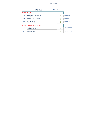# Essex County

|        | <b>MORIAH</b>              | ED# |   |                   |
|--------|----------------------------|-----|---|-------------------|
|        | <b>GOVERNOR</b>            |     |   |                   |
| $1A$ : | Zephyr R. Teachout         |     | 2 | <b>DEMOCRATIC</b> |
| $2A^+$ | Andrew M. Cuomo            |     | 5 | <b>DEMOCRATIC</b> |
| $3A$ : | Randy A. Credico           |     |   | <b>DEMOCRATIC</b> |
|        | <b>LIEUTENANT GOVERNOR</b> |     |   |                   |
| 4A:    | Kathy C. Hochul            |     | 5 | <b>DEMOCRATIC</b> |
| 5A:    | <b>Timothy Wu</b>          |     | 2 | <b>DEMOCRATIC</b> |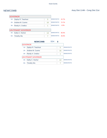|        | <b>GOVERNOR</b>            |    |                   |              |
|--------|----------------------------|----|-------------------|--------------|
| 1A:    | Zephyr R. Teachout         | 5  | <b>DEMOCRATIC</b> | <b>22.7%</b> |
| $2A^+$ | Andrew M. Cuomo            | 16 | <b>DEMOCRATIC</b> | 72.7%        |
| $3A$ : | Randy A. Credico           | 1  | <b>DEMOCRATIC</b> | 4.5%         |
|        |                            |    |                   |              |
|        | <b>LIEUTENANT GOVERNOR</b> |    |                   |              |
| 4A:    | Kathy C. Hochul            | 13 | <b>DEMOCRATIC</b> | 65.0%        |
| 5A:    | <b>Timothy Wu</b>          | 7  | <b>DEMOCRATIC</b> | 35.0%        |

|        | <b>NEWCOMB</b>             | ED# |    |                   |
|--------|----------------------------|-----|----|-------------------|
|        | <b>GOVERNOR</b>            |     |    |                   |
| 1A:    | Zephyr R. Teachout         |     | 5  | <b>DEMOCRATIC</b> |
| $2A$ : | Andrew M. Cuomo            |     | 16 | <b>DEMOCRATIC</b> |
| $3A$ : | Randy A. Credico           |     |    | <b>DEMOCRATIC</b> |
|        | <b>LIEUTENANT GOVERNOR</b> |     |    |                   |
| 4A:    | Kathy C. Hochul            |     | 13 | <b>DEMOCRATIC</b> |
| 5A:    | <b>Timothy Wu</b>          |     |    | <b>DEMOCRATIC</b> |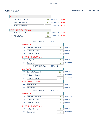|        | <b>GOVERNOR</b>            |    |                   |       |
|--------|----------------------------|----|-------------------|-------|
| 1A:    | Zephyr R. Teachout         | 63 | <b>DEMOCRATIC</b> | 54.8% |
| $2A$ : | Andrew M. Cuomo            | 51 | <b>DEMOCRATIC</b> | 44.3% |
| $3A$ : | Randy A. Credico           |    | <b>DEMOCRATIC</b> | 0.9%  |
|        |                            |    |                   |       |
|        | <b>LIEUTENANT GOVERNOR</b> |    |                   |       |
| 4A:    | Kathy C. Hochul            | 43 | <b>DEMOCRATIC</b> | 63.6% |
| 5A:    | <b>Timothy Wu</b>          | 59 | <b>DEMOCRATIC</b> | 36.4% |

|        | <b>NORTH ELBA</b>          | <b>ED#:</b> | 1              |                   |
|--------|----------------------------|-------------|----------------|-------------------|
|        | <b>GOVERNOR</b>            |             |                |                   |
| $1A$ : | Zephyr R. Teachout         |             | 5              | <b>DEMOCRATIC</b> |
| $2A$ : | Andrew M. Cuomo            |             | 9              | <b>DEMOCRATIC</b> |
| $3A$ : | Randy A. Credico           |             | $\Omega$       | <b>DEMOCRATIC</b> |
|        | <b>LIEUTENANT GOVERNOR</b> |             |                |                   |
| 4A:    | Kathy C. Hochul            |             | $\overline{7}$ | <b>DEMOCRATIC</b> |
| $5A$ : | <b>Timothy Wu</b>          |             | 4              | <b>DEMOCRATIC</b> |
|        | <b>NORTH ELBA</b>          | ED#:        | $\overline{2}$ |                   |
|        | <b>GOVERNOR</b>            |             |                |                   |
| $1A$ : | Zephyr R. Teachout         |             | 21             | <b>DEMOCRATIC</b> |
| 2A:    | Andrew M. Cuomo            |             | 7              | <b>DEMOCRATIC</b> |
| $3A$ : | Randy A. Credico           |             | $\Omega$       | <b>DEMOCRATIC</b> |
|        | <b>LIEUTENANT GOVERNOR</b> |             |                |                   |
| 4A:    | Kathy C. Hochul            |             | 7              | <b>DEMOCRATIC</b> |
| $5A$ : | <b>Timothy Wu</b>          |             | 17             | <b>DEMOCRATIC</b> |
|        | <b>NORTH ELBA</b>          | ED#         | 3              |                   |
|        | <b>GOVERNOR</b>            |             |                |                   |
| $1A$ : | Zephyr R. Teachout         |             | 5              | <b>DEMOCRATIC</b> |
| $2A$ : | Andrew M. Cuomo            |             | 4              | <b>DEMOCRATIC</b> |
| $3A$ : | Randy A. Credico           |             | 0              | <b>DEMOCRATIC</b> |
|        | <b>LIEUTENANT GOVERNOR</b> |             |                |                   |
| 4A:    | Kathy C. Hochul            |             | 2              | <b>DEMOCRATIC</b> |
| 5A:    | <b>Timothy Wu</b>          |             | 5              | <b>DEMOCRATIC</b> |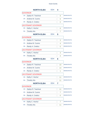# Essex County

|        | <b>NORTH ELBA</b>          | ED#     | 4 |                |                   |
|--------|----------------------------|---------|---|----------------|-------------------|
|        | <b>GOVERNOR</b>            |         |   |                |                   |
| $1A$ : | Zephyr R. Teachout         |         |   | 8              | <b>DEMOCRATIC</b> |
| $2A$ : | Andrew M. Cuomo            |         |   | 6              | <b>DEMOCRATIC</b> |
| 3A:    | Randy A. Credico           |         |   | 0              | <b>DEMOCRATIC</b> |
|        | <b>LIEUTENANT GOVERNOR</b> |         |   |                |                   |
| 4A:    | Kathy C. Hochul            |         |   | 6              | <b>DEMOCRATIC</b> |
| $5A$ : | <b>Timothy Wu</b>          |         |   | $\overline{7}$ | <b>DEMOCRATIC</b> |
|        | <b>NORTH ELBA</b>          | ED#     | 5 |                |                   |
|        | <b>GOVERNOR</b>            |         |   |                |                   |
| $1A$ : | Zephyr R. Teachout         |         |   | 3              | <b>DEMOCRATIC</b> |
| 2A:    | Andrew M. Cuomo            |         |   | 4              | <b>DEMOCRATIC</b> |
| $3A$ : | Randy A. Credico           |         |   | 0              | <b>DEMOCRATIC</b> |
|        | <b>LIEUTENANT GOVERNOR</b> |         |   |                |                   |
| 4A:    | Kathy C. Hochul            |         |   | 3              | <b>DEMOCRATIC</b> |
| 5A:    | <b>Timothy Wu</b>          |         |   | 4              | <b>DEMOCRATIC</b> |
|        |                            |         |   |                |                   |
|        | <b>NORTH ELBA</b>          | ED#:    | 6 |                |                   |
|        | <b>GOVERNOR</b>            |         |   |                |                   |
| $1A$ : | Zephyr R. Teachout         |         |   | 10             | <b>DEMOCRATIC</b> |
| $2A$ : | Andrew M. Cuomo            |         |   | 14             | <b>DEMOCRATIC</b> |
| $3A$ : | Randy A. Credico           |         |   | 1              | <b>DEMOCRATIC</b> |
|        | <b>LIEUTENANT GOVERNOR</b> |         |   |                |                   |
| 4A:    | Kathy C. Hochul            |         |   | 11             | <b>DEMOCRATIC</b> |
| $5A$ : | <b>Timothy Wu</b>          |         |   | 11             | <b>DEMOCRATIC</b> |
|        | <b>NORTH ELBA</b>          | $ED#$ : | 7 |                |                   |
|        | GOVERNOR                   |         |   |                |                   |
| $1A$ : | Zephyr R. Teachout         |         |   | 11             | <b>DEMOCRATIC</b> |
| 2A:    | Andrew M. Cuomo            |         |   | $\overline{7}$ | <b>DEMOCRATIC</b> |
| 3A:    | Randy A. Credico           |         |   | 0              | <b>DEMOCRATIC</b> |
|        | <b>LIEUTENANT GOVERNOR</b> |         |   |                |                   |
| 4A:    | Kathy C. Hochul            |         |   | $\overline{7}$ | <b>DEMOCRATIC</b> |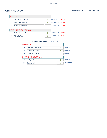$\overline{\phantom{0}}$ 

|        | <b>GOVERNOR</b>            |   |                   |        |
|--------|----------------------------|---|-------------------|--------|
| 1A:    | Zephyr R. Teachout         | 0 | <b>DEMOCRATIC</b> | 0.0%   |
| $2A^+$ | Andrew M. Cuomo            | 4 | <b>DEMOCRATIC</b> | 80.0%  |
| $3A$ : | Randy A. Credico           |   | <b>DEMOCRATIC</b> | 20.0%  |
|        | <b>LIEUTENANT GOVERNOR</b> |   |                   |        |
| 4A:    | Kathy C. Hochul            | 5 | <b>DEMOCRATIC</b> | ###### |
| 5A:    | <b>Timothy Wu</b>          | 0 | <b>DEMOCRATIC</b> | 0.0%   |

<u> 1980 - Johann Barbara, martxa al</u>

|        | <b>NORTH HUDSON</b>        | ED# |   |                   |
|--------|----------------------------|-----|---|-------------------|
|        | <b>GOVERNOR</b>            |     |   |                   |
| 1A:    | Zephyr R. Teachout         |     |   | <b>DEMOCRATIC</b> |
| $2A$ : | Andrew M. Cuomo            |     | 4 | <b>DEMOCRATIC</b> |
| $3A$ : | Randy A. Credico           |     |   | <b>DEMOCRATIC</b> |
|        | <b>LIEUTENANT GOVERNOR</b> |     |   |                   |
| 4A:    | Kathy C. Hochul            |     | 5 | <b>DEMOCRATIC</b> |
| 5A:    | <b>Timothy Wu</b>          |     |   | <b>DEMOCRATIC</b> |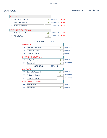|        | <b>GOVERNOR</b>            |                |                   |       |
|--------|----------------------------|----------------|-------------------|-------|
| 1A:    | Zephyr R. Teachout         | 14             | <b>DEMOCRATIC</b> | 45.2% |
| $2A$ : | Andrew M. Cuomo            | 15             | <b>DEMOCRATIC</b> | 48.4% |
| $3A$ : | Randy A. Credico           | $\overline{2}$ | <b>DEMOCRATIC</b> | 6.5%  |
|        |                            |                |                   |       |
|        | <b>LIEUTENANT GOVERNOR</b> |                |                   |       |
| 4A:    | Kathy C. Hochul            | 12             | <b>DEMOCRATIC</b> | 55.6% |
| $5A$ : | Timothy Wu                 | 14             | <b>DEMOCRATIC</b> | 44.4% |

| <b>SCHROON</b>     | ED#:                                                                                           | 1            |                   |
|--------------------|------------------------------------------------------------------------------------------------|--------------|-------------------|
|                    |                                                                                                |              |                   |
| Zephyr R. Teachout |                                                                                                | 4            | <b>DEMOCRATIC</b> |
| Andrew M. Cuomo    |                                                                                                | 5            | <b>DEMOCRATIC</b> |
| Randy A. Credico   |                                                                                                | 1            | <b>DEMOCRATIC</b> |
|                    |                                                                                                |              |                   |
| Kathy C. Hochul    |                                                                                                | 5            | <b>DEMOCRATIC</b> |
| <b>Timothy Wu</b>  |                                                                                                | 4            | <b>DEMOCRATIC</b> |
| <b>SCHROON</b>     | ED#                                                                                            | $\mathbf{p}$ |                   |
|                    |                                                                                                |              |                   |
| Zephyr R. Teachout |                                                                                                | 10           | <b>DEMOCRATIC</b> |
| Andrew M. Cuomo    |                                                                                                | 10           | <b>DEMOCRATIC</b> |
| Randy A. Credico   |                                                                                                | 1            | <b>DEMOCRATIC</b> |
|                    |                                                                                                |              |                   |
| Kathy C. Hochul    |                                                                                                | 7            | <b>DEMOCRATIC</b> |
| <b>Timothy Wu</b>  |                                                                                                | 10           | <b>DEMOCRATIC</b> |
|                    | <b>GOVERNOR</b><br><b>LIEUTENANT GOVERNOR</b><br><b>GOVERNOR</b><br><b>LIEUTENANT GOVERNOR</b> |              |                   |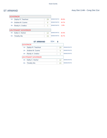|        | <b>GOVERNOR</b>            |    |                   |       |
|--------|----------------------------|----|-------------------|-------|
| $1A$ : | Zephyr R. Teachout         | 29 | <b>DEMOCRATIC</b> | 80.6% |
| $2A^+$ | Andrew M. Cuomo            | 6  | <b>DEMOCRATIC</b> | 16.7% |
| $3A$ : | Randy A. Credico           | 1  | <b>DEMOCRATIC</b> | 2.8%  |
|        |                            |    |                   |       |
|        | <b>LIEUTENANT GOVERNOR</b> |    |                   |       |
| 4A:    | Kathy C. Hochul            | 12 | <b>DEMOCRATIC</b> | 34.3% |
| 5A:    | Timothy Wu                 | 23 | <b>DEMOCRATIC</b> | 65.7% |

|        | <b>ST ARMAND</b>           | ED# |    |                   |
|--------|----------------------------|-----|----|-------------------|
|        | <b>GOVERNOR</b>            |     |    |                   |
| 1A:    | Zephyr R. Teachout         |     | 29 | <b>DEMOCRATIC</b> |
| $2A^+$ | Andrew M. Cuomo            |     | 6  | <b>DEMOCRATIC</b> |
| 3A:    | Randy A. Credico           |     |    | <b>DEMOCRATIC</b> |
|        | <b>LIEUTENANT GOVERNOR</b> |     |    |                   |
| 4A:    | Kathy C. Hochul            |     | 12 | <b>DEMOCRATIC</b> |
| 5A:    | <b>Timothy Wu</b>          |     | 23 | <b>DEMOCRATIC</b> |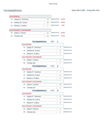|        | <b>GOVERNOR</b>     |    |                   |       |
|--------|---------------------|----|-------------------|-------|
| 1A:    | Zephyr R. Teachout  | 19 | <b>DEMOCRATIC</b> | 34.5% |
| $2A$ : | Andrew M. Cuomo     | 35 | <b>DEMOCRATIC</b> | 63.6% |
| $3A$ : | Randy A. Credico    |    | <b>DEMOCRATIC</b> | 1.8%  |
|        |                     |    |                   |       |
|        | LIEUTENANT GOVERNOR |    |                   |       |
| 4A:    | Kathy C. Hochul     | 32 | <b>DEMOCRATIC</b> | 30.0% |
| 5A:    | <b>Timothy Wu</b>   | 19 | <b>DEMOCRATIC</b> | 70.0% |

|        | <b>TICONDEROGA</b>         | ED#  | 1              |                   |
|--------|----------------------------|------|----------------|-------------------|
|        | <b>GOVERNOR</b>            |      |                |                   |
| $1A$ : | Zephyr R. Teachout         |      | 3              | <b>DEMOCRATIC</b> |
| $2A$ : | Andrew M. Cuomo            |      | 6              | <b>DEMOCRATIC</b> |
| $3A$ : | Randy A. Credico           |      | 1              | <b>DEMOCRATIC</b> |
|        | <b>LIEUTENANT GOVERNOR</b> |      |                |                   |
| 4A:    | Kathy C. Hochul            |      | 3              | <b>DEMOCRATIC</b> |
| $5A$ : | <b>Timothy Wu</b>          |      | $\overline{7}$ | <b>DEMOCRATIC</b> |
|        | <b>TICONDEROGA</b>         | ED#: | $\mathbf{2}$   |                   |
|        | <b>GOVERNOR</b>            |      |                |                   |
| 1A:    | Zephyr R. Teachout         |      | $\overline{2}$ | <b>DEMOCRATIC</b> |
| $2A$ : | Andrew M. Cuomo            |      | 11             | <b>DEMOCRATIC</b> |
| $3A$ : | Randy A. Credico           |      | $\Omega$       | <b>DEMOCRATIC</b> |
|        | <b>LIEUTENANT GOVERNOR</b> |      |                |                   |
| 4A:    | Kathy C. Hochul            |      | 10             | <b>DEMOCRATIC</b> |
| $5A$ : | <b>Timothy Wu</b>          |      | $\overline{2}$ | <b>DEMOCRATIC</b> |
|        | <b>TICONDEROGA</b>         | ED#  | 3              |                   |
|        | <b>GOVERNOR</b>            |      |                |                   |
| $1A$ : | Zephyr R. Teachout         |      | 6              | <b>DEMOCRATIC</b> |
| $2A$ : | Andrew M. Cuomo            |      | 4              | <b>DEMOCRATIC</b> |
| $3A$ : | Randy A. Credico           |      | $\Omega$       | <b>DEMOCRATIC</b> |
|        | <b>LIEUTENANT GOVERNOR</b> |      |                |                   |
| 4A:    | Kathy C. Hochul            |      | $\overline{4}$ | <b>DEMOCRATIC</b> |
| 5A:    | <b>Timothy Wu</b>          |      | 4              | <b>DEMOCRATIC</b> |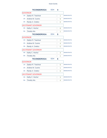# Essex County

|        | <b>TICONDEROGA</b>         | ED# | 4        |                   |
|--------|----------------------------|-----|----------|-------------------|
|        | <b>GOVERNOR</b>            |     |          |                   |
| $1A$ : | Zephyr R. Teachout         |     | 1        | <b>DEMOCRATIC</b> |
| 2A:    | Andrew M. Cuomo            |     | 9        | <b>DEMOCRATIC</b> |
| 3A:    | Randy A. Credico           |     | $\Omega$ | <b>DEMOCRATIC</b> |
|        | <b>LIEUTENANT GOVERNOR</b> |     |          |                   |
| 4A:    | Kathy C. Hochul            |     | 8        | <b>DEMOCRATIC</b> |
| 5A:    | <b>Timothy Wu</b>          |     | 1        | <b>DEMOCRATIC</b> |
|        | <b>TICONDEROGA</b>         | ED# | 5        |                   |
|        | <b>GOVERNOR</b>            |     |          |                   |
| $1A$ : | Zephyr R. Teachout         |     | 1        | <b>DEMOCRATIC</b> |
| $2A$ : | Andrew M. Cuomo            |     | 4        | <b>DEMOCRATIC</b> |
| $3A$ : | Randy A. Credico           |     | 0        | <b>DEMOCRATIC</b> |
|        | <b>LIEUTENANT GOVERNOR</b> |     |          |                   |
| 4A:    | Kathy C. Hochul            |     | 4        | <b>DEMOCRATIC</b> |
| 5A:    | <b>Timothy Wu</b>          |     | 1        | <b>DEMOCRATIC</b> |
|        | <b>TICONDEROGA</b>         | ED# | 6        |                   |
|        | <b>GOVERNOR</b>            |     |          |                   |
| $1A$ : | Zephyr R. Teachout         |     | 6        | <b>DEMOCRATIC</b> |
| $2A$ : | Andrew M. Cuomo            |     | 1        | <b>DEMOCRATIC</b> |
| $3A$ : | Randy A. Credico           |     | $\Omega$ | <b>DEMOCRATIC</b> |
|        | <b>LIEUTENANT GOVERNOR</b> |     |          |                   |
| 4A:    | Kathy C. Hochul            |     | 3        | <b>DEMOCRATIC</b> |
| $5A$ : | <b>Timothy Wu</b>          |     | 4        | <b>DEMOCRATIC</b> |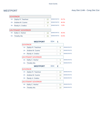|        | <b>GOVERNOR</b>     |    |                   |       |
|--------|---------------------|----|-------------------|-------|
| 1A:    | Zephyr R. Teachout  | 22 | <b>DEMOCRATIC</b> | 53.7% |
| $2A$ : | Andrew M. Cuomo     | 19 | <b>DEMOCRATIC</b> | 46.3% |
| $3A$ : | Randy A. Credico    | 0  | <b>DEMOCRATIC</b> | 0.0%  |
|        |                     |    |                   |       |
|        | LIEUTENANT GOVERNOR |    |                   |       |
| 4A:    | Kathy C. Hochul     | 16 | <b>DEMOCRATIC</b> | 45.5% |
| $5A$ : | Timothy Wu          | 25 | <b>DEMOCRATIC</b> | 54.5% |

|        | <b>WESTPORT</b>            | ED# |              |                   |
|--------|----------------------------|-----|--------------|-------------------|
|        | <b>GOVERNOR</b>            |     |              |                   |
| $1A$ : | Zephyr R. Teachout         |     | 8            | <b>DEMOCRATIC</b> |
| $2A$ : | Andrew M. Cuomo            |     | 3            | <b>DEMOCRATIC</b> |
| $3A$ : | Randy A. Credico           |     | 0            | <b>DEMOCRATIC</b> |
|        | <b>LIEUTENANT GOVERNOR</b> |     |              |                   |
| 4A:    | Kathy C. Hochul            |     | 5            | <b>DEMOCRATIC</b> |
| $5A$ : | <b>Timothy Wu</b>          |     | 6            | <b>DEMOCRATIC</b> |
|        |                            |     |              |                   |
|        | <b>WESTPORT</b>            | ED# | $\mathbf{c}$ |                   |
|        | <b>GOVERNOR</b>            |     |              |                   |
| $1A$ : | Zephyr R. Teachout         |     | 14           | <b>DEMOCRATIC</b> |
| 2A:    | Andrew M. Cuomo            |     | 16           | <b>DEMOCRATIC</b> |
| $3A$ : | Randy A. Credico           |     | 0            | <b>DEMOCRATIC</b> |
|        | <b>LIEUTENANT GOVERNOR</b> |     |              |                   |
| 4A:    | Kathy C. Hochul            |     | 11           | <b>DEMOCRATIC</b> |
| $5A$ : | <b>Timothy Wu</b>          |     | 19           | <b>DEMOCRATIC</b> |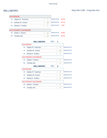|        | <b>GOVERNOR</b>            |    |                   |       |
|--------|----------------------------|----|-------------------|-------|
| 1A:    | Zephyr R. Teachout         |    | <b>DEMOCRATIC</b> | 29.2% |
| $2A^+$ | Andrew M. Cuomo            | 16 | <b>DEMOCRATIC</b> | 66.7% |
| $3A$ : | Randy A. Credico           | 1  | <b>DEMOCRATIC</b> | 4.2%  |
|        | <b>LIEUTENANT GOVERNOR</b> |    |                   |       |
|        |                            |    |                   |       |
| $4A$ : | Kathy C. Hochul            | 11 | <b>DEMOCRATIC</b> | 43.8% |
| 5A:    | <b>Timothy Wu</b>          | 12 | <b>DEMOCRATIC</b> | 56.3% |

| ED#<br><b>WILLSBORO</b>    |                                               |                   |
|----------------------------|-----------------------------------------------|-------------------|
|                            |                                               |                   |
| Zephyr R. Teachout         | 5                                             | <b>DEMOCRATIC</b> |
| Andrew M. Cuomo            | 10                                            | <b>DEMOCRATIC</b> |
| Randy A. Credico           | 1                                             | <b>DEMOCRATIC</b> |
|                            |                                               |                   |
| Kathy C. Hochul            | $\overline{7}$                                | <b>DEMOCRATIC</b> |
| <b>Timothy Wu</b>          | 9                                             | <b>DEMOCRATIC</b> |
| ED#<br><b>WILLSBORO</b>    | $\mathbf{p}$                                  |                   |
|                            |                                               |                   |
| <b>GOVERNOR</b>            |                                               |                   |
| Zephyr R. Teachout         | $\overline{2}$                                | <b>DEMOCRATIC</b> |
| Andrew M. Cuomo            | 6                                             | <b>DEMOCRATIC</b> |
| Randy A. Credico           | O                                             | <b>DEMOCRATIC</b> |
| <b>LIEUTENANT GOVERNOR</b> |                                               |                   |
| Kathy C. Hochul            | 4                                             | <b>DEMOCRATIC</b> |
|                            | <b>GOVERNOR</b><br><b>LIEUTENANT GOVERNOR</b> |                   |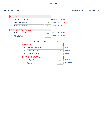|        | <b>GOVERNOR</b>     |    |                   |       |
|--------|---------------------|----|-------------------|-------|
| $1A$ : | Zephyr R. Teachout  | 11 | <b>DEMOCRATIC</b> | 42.3% |
| $2A^+$ | Andrew M. Cuomo     | 15 | <b>DEMOCRATIC</b> | 57.7% |
| $3A$ : | Randy A. Credico    | 0  | <b>DEMOCRATIC</b> | 0.0%  |
|        |                     |    |                   |       |
|        | LIEUTENANT GOVERNOR |    |                   |       |
| 4A:    | Kathy C. Hochul     | 11 | <b>DEMOCRATIC</b> | 47.8% |
| 5A:    | <b>Timothy Wu</b>   | 12 | <b>DEMOCRATIC</b> | 52.2% |

|        | <b>WILMINGTON</b>   | ED# |    |                   |
|--------|---------------------|-----|----|-------------------|
|        | <b>GOVERNOR</b>     |     |    |                   |
| 1A:    | Zephyr R. Teachout  |     | 11 | <b>DEMOCRATIC</b> |
| $2A^+$ | Andrew M. Cuomo     |     | 15 | <b>DEMOCRATIC</b> |
| $3A$ : | Randy A. Credico    |     | Ω  | <b>DEMOCRATIC</b> |
|        | LIEUTENANT GOVERNOR |     |    |                   |
| 4A:    | Kathy C. Hochul     |     | 11 | <b>DEMOCRATIC</b> |
| 5A:    | Timothy Wu          |     | 12 | <b>DEMOCRATIC</b> |